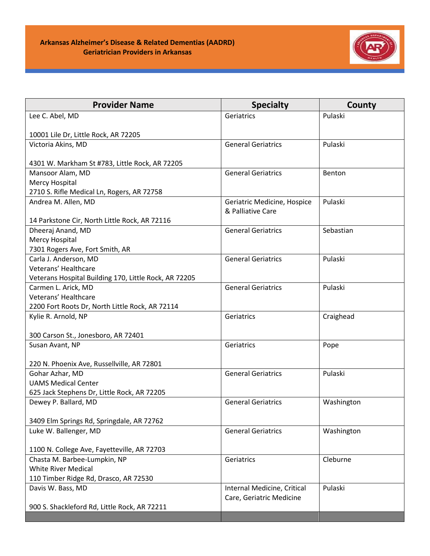

| <b>Provider Name</b>                                  | <b>Specialty</b>            | County     |
|-------------------------------------------------------|-----------------------------|------------|
| Lee C. Abel, MD                                       | Geriatrics                  | Pulaski    |
|                                                       |                             |            |
| 10001 Lile Dr, Little Rock, AR 72205                  |                             |            |
| Victoria Akins, MD                                    | <b>General Geriatrics</b>   | Pulaski    |
| 4301 W. Markham St #783, Little Rock, AR 72205        |                             |            |
| Mansoor Alam, MD                                      | <b>General Geriatrics</b>   | Benton     |
| Mercy Hospital                                        |                             |            |
| 2710 S. Rifle Medical Ln, Rogers, AR 72758            |                             |            |
| Andrea M. Allen, MD                                   | Geriatric Medicine, Hospice | Pulaski    |
|                                                       | & Palliative Care           |            |
| 14 Parkstone Cir, North Little Rock, AR 72116         |                             |            |
| Dheeraj Anand, MD                                     | <b>General Geriatrics</b>   | Sebastian  |
| Mercy Hospital                                        |                             |            |
| 7301 Rogers Ave, Fort Smith, AR                       |                             |            |
| Carla J. Anderson, MD<br>Veterans' Healthcare         | <b>General Geriatrics</b>   | Pulaski    |
| Veterans Hospital Building 170, Little Rock, AR 72205 |                             |            |
| Carmen L. Arick, MD                                   | <b>General Geriatrics</b>   | Pulaski    |
| Veterans' Healthcare                                  |                             |            |
| 2200 Fort Roots Dr, North Little Rock, AR 72114       |                             |            |
| Kylie R. Arnold, NP                                   | Geriatrics                  | Craighead  |
|                                                       |                             |            |
| 300 Carson St., Jonesboro, AR 72401                   |                             |            |
| Susan Avant, NP                                       | Geriatrics                  | Pope       |
|                                                       |                             |            |
| 220 N. Phoenix Ave, Russellville, AR 72801            |                             |            |
| Gohar Azhar, MD                                       | <b>General Geriatrics</b>   | Pulaski    |
| <b>UAMS Medical Center</b>                            |                             |            |
| 625 Jack Stephens Dr, Little Rock, AR 72205           |                             |            |
| Dewey P. Ballard, MD                                  | <b>General Geriatrics</b>   | Washington |
|                                                       |                             |            |
| 3409 Elm Springs Rd, Springdale, AR 72762             |                             |            |
| Luke W. Ballenger, MD                                 | <b>General Geriatrics</b>   | Washington |
| 1100 N. College Ave, Fayetteville, AR 72703           |                             |            |
| Chasta M. Barbee-Lumpkin, NP                          | Geriatrics                  | Cleburne   |
| <b>White River Medical</b>                            |                             |            |
| 110 Timber Ridge Rd, Drasco, AR 72530                 |                             |            |
| Davis W. Bass, MD                                     | Internal Medicine, Critical | Pulaski    |
|                                                       | Care, Geriatric Medicine    |            |
| 900 S. Shackleford Rd, Little Rock, AR 72211          |                             |            |
|                                                       |                             |            |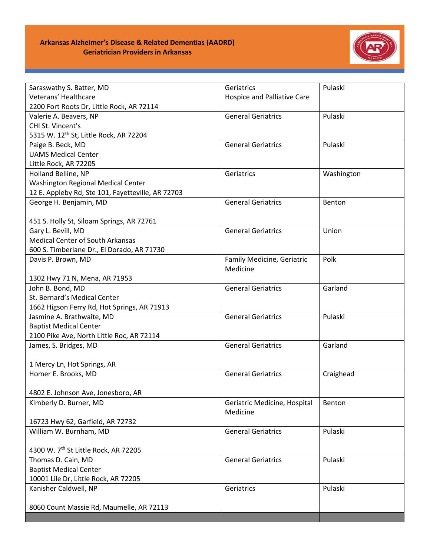

| Saraswathy S. Batter, MD                           | Geriatrics                   | Pulaski    |
|----------------------------------------------------|------------------------------|------------|
| Veterans' Healthcare                               | Hospice and Palliative Care  |            |
| 2200 Fort Roots Dr, Little Rock, AR 72114          |                              |            |
| Valerie A. Beavers, NP                             | <b>General Geriatrics</b>    | Pulaski    |
| CHI St. Vincent's                                  |                              |            |
| 5315 W. 12 <sup>th</sup> St, Little Rock, AR 72204 |                              |            |
| Paige B. Beck, MD                                  | <b>General Geriatrics</b>    | Pulaski    |
| <b>UAMS Medical Center</b>                         |                              |            |
| Little Rock, AR 72205                              |                              |            |
| Holland Belline, NP                                | Geriatrics                   | Washington |
| <b>Washington Regional Medical Center</b>          |                              |            |
| 12 E. Appleby Rd, Ste 101, Fayetteville, AR 72703  |                              |            |
| George H. Benjamin, MD                             | <b>General Geriatrics</b>    | Benton     |
|                                                    |                              |            |
| 451 S. Holly St, Siloam Springs, AR 72761          |                              |            |
| Gary L. Bevill, MD                                 | <b>General Geriatrics</b>    | Union      |
| <b>Medical Center of South Arkansas</b>            |                              |            |
| 600 S. Timberlane Dr., El Dorado, AR 71730         |                              |            |
| Davis P. Brown, MD                                 | Family Medicine, Geriatric   | Polk       |
|                                                    | Medicine                     |            |
| 1302 Hwy 71 N, Mena, AR 71953                      |                              |            |
| John B. Bond, MD                                   | <b>General Geriatrics</b>    | Garland    |
| St. Bernard's Medical Center                       |                              |            |
| 1662 Higson Ferry Rd, Hot Springs, AR 71913        |                              |            |
| Jasmine A. Brathwaite, MD                          | <b>General Geriatrics</b>    | Pulaski    |
| <b>Baptist Medical Center</b>                      |                              |            |
| 2100 Pike Ave, North Little Roc, AR 72114          |                              |            |
| James, S. Bridges, MD                              | <b>General Geriatrics</b>    | Garland    |
|                                                    |                              |            |
| 1 Mercy Ln, Hot Springs, AR                        |                              |            |
| Homer E. Brooks, MD                                | <b>General Geriatrics</b>    | Craighead  |
|                                                    |                              |            |
| 4802 E. Johnson Ave, Jonesboro, AR                 |                              |            |
| Kimberly D. Burner, MD                             | Geriatric Medicine, Hospital | Benton     |
|                                                    | Medicine                     |            |
| 16723 Hwy 62, Garfield, AR 72732                   |                              |            |
| William W. Burnham, MD                             | <b>General Geriatrics</b>    | Pulaski    |
|                                                    |                              |            |
| 4300 W. 7th St Little Rock, AR 72205               |                              |            |
| Thomas D. Cain, MD                                 | <b>General Geriatrics</b>    | Pulaski    |
| <b>Baptist Medical Center</b>                      |                              |            |
| 10001 Lile Dr, Little Rock, AR 72205               |                              |            |
| Kanisher Caldwell, NP                              | Geriatrics                   | Pulaski    |
|                                                    |                              |            |
| 8060 Count Massie Rd, Maumelle, AR 72113           |                              |            |
|                                                    |                              |            |
|                                                    |                              |            |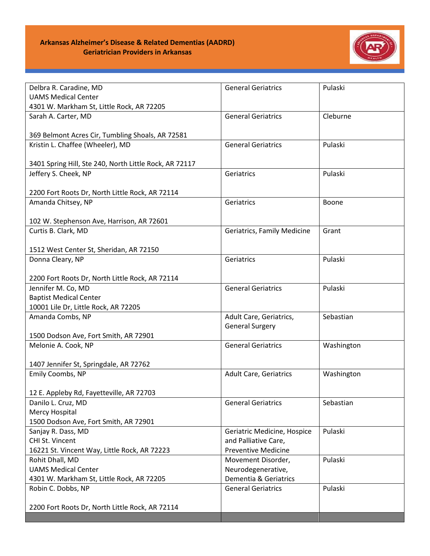

| Delbra R. Caradine, MD                                                  | <b>General Geriatrics</b>                   | Pulaski    |
|-------------------------------------------------------------------------|---------------------------------------------|------------|
| <b>UAMS Medical Center</b>                                              |                                             |            |
| 4301 W. Markham St, Little Rock, AR 72205                               |                                             |            |
| Sarah A. Carter, MD                                                     | <b>General Geriatrics</b>                   | Cleburne   |
| 369 Belmont Acres Cir, Tumbling Shoals, AR 72581                        |                                             |            |
| Kristin L. Chaffee (Wheeler), MD                                        | <b>General Geriatrics</b>                   | Pulaski    |
| 3401 Spring Hill, Ste 240, North Little Rock, AR 72117                  |                                             |            |
| Jeffery S. Cheek, NP                                                    | Geriatrics                                  | Pulaski    |
| 2200 Fort Roots Dr, North Little Rock, AR 72114                         |                                             |            |
| Amanda Chitsey, NP                                                      | Geriatrics                                  | Boone      |
|                                                                         |                                             |            |
| 102 W. Stephenson Ave, Harrison, AR 72601                               |                                             |            |
| Curtis B. Clark, MD                                                     | Geriatrics, Family Medicine                 | Grant      |
|                                                                         |                                             |            |
| 1512 West Center St, Sheridan, AR 72150                                 |                                             |            |
| Donna Cleary, NP                                                        | Geriatrics                                  | Pulaski    |
| 2200 Fort Roots Dr, North Little Rock, AR 72114                         |                                             |            |
| Jennifer M. Co, MD                                                      | <b>General Geriatrics</b>                   | Pulaski    |
| <b>Baptist Medical Center</b>                                           |                                             |            |
| 10001 Lile Dr, Little Rock, AR 72205                                    |                                             |            |
| Amanda Combs, NP                                                        | Adult Care, Geriatrics,                     | Sebastian  |
|                                                                         | <b>General Surgery</b>                      |            |
| 1500 Dodson Ave, Fort Smith, AR 72901                                   | <b>General Geriatrics</b>                   | Washington |
| Melonie A. Cook, NP                                                     |                                             |            |
| 1407 Jennifer St, Springdale, AR 72762                                  |                                             |            |
| Emily Coombs, NP                                                        | <b>Adult Care, Geriatrics</b>               | Washington |
|                                                                         |                                             |            |
| 12 E. Appleby Rd, Fayetteville, AR 72703                                |                                             |            |
| Danilo L. Cruz, MD                                                      | <b>General Geriatrics</b>                   | Sebastian  |
| Mercy Hospital                                                          |                                             |            |
| 1500 Dodson Ave, Fort Smith, AR 72901                                   |                                             |            |
| Sanjay R. Dass, MD                                                      | Geriatric Medicine, Hospice                 | Pulaski    |
| CHI St. Vincent                                                         | and Palliative Care,                        |            |
| 16221 St. Vincent Way, Little Rock, AR 72223                            | <b>Preventive Medicine</b>                  |            |
| Rohit Dhall, MD                                                         | Movement Disorder,                          | Pulaski    |
| <b>UAMS Medical Center</b><br>4301 W. Markham St, Little Rock, AR 72205 | Neurodegenerative,<br>Dementia & Geriatrics |            |
| Robin C. Dobbs, NP                                                      | <b>General Geriatrics</b>                   | Pulaski    |
|                                                                         |                                             |            |
| 2200 Fort Roots Dr, North Little Rock, AR 72114                         |                                             |            |
|                                                                         |                                             |            |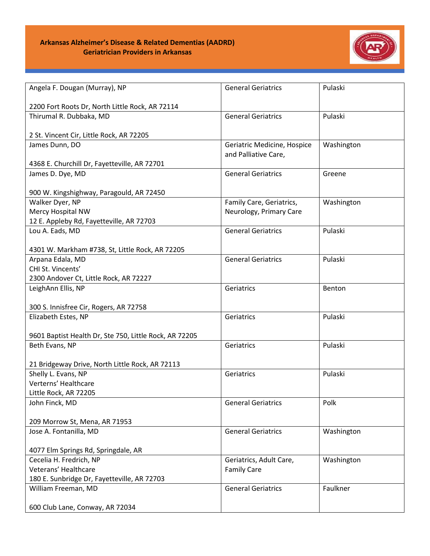## **Arkansas Alzheimer's Disease & Related Dementias (AADRD) Geriatrician Providers in Arkansas**



| Angela F. Dougan (Murray), NP                              | <b>General Geriatrics</b>   | Pulaski    |
|------------------------------------------------------------|-----------------------------|------------|
| 2200 Fort Roots Dr, North Little Rock, AR 72114            |                             |            |
| Thirumal R. Dubbaka, MD                                    | <b>General Geriatrics</b>   | Pulaski    |
|                                                            |                             |            |
| 2 St. Vincent Cir, Little Rock, AR 72205<br>James Dunn, DO | Geriatric Medicine, Hospice | Washington |
|                                                            | and Palliative Care,        |            |
| 4368 E. Churchill Dr, Fayetteville, AR 72701               |                             |            |
| James D. Dye, MD                                           | <b>General Geriatrics</b>   | Greene     |
|                                                            |                             |            |
| 900 W. Kingshighway, Paragould, AR 72450                   |                             |            |
| Walker Dyer, NP                                            | Family Care, Geriatrics,    | Washington |
| Mercy Hospital NW                                          | Neurology, Primary Care     |            |
| 12 E. Appleby Rd, Fayetteville, AR 72703                   |                             |            |
| Lou A. Eads, MD                                            | <b>General Geriatrics</b>   | Pulaski    |
| 4301 W. Markham #738, St, Little Rock, AR 72205            |                             |            |
| Arpana Edala, MD                                           | <b>General Geriatrics</b>   | Pulaski    |
| CHI St. Vincents'                                          |                             |            |
| 2300 Andover Ct, Little Rock, AR 72227                     |                             |            |
| LeighAnn Ellis, NP                                         | Geriatrics                  | Benton     |
|                                                            |                             |            |
| 300 S. Innisfree Cir, Rogers, AR 72758                     |                             |            |
| Elizabeth Estes, NP                                        | Geriatrics                  | Pulaski    |
|                                                            |                             |            |
| 9601 Baptist Health Dr, Ste 750, Little Rock, AR 72205     |                             |            |
| Beth Evans, NP                                             | Geriatrics                  | Pulaski    |
| 21 Bridgeway Drive, North Little Rock, AR 72113            |                             |            |
| Shelly L. Evans, NP                                        | Geriatrics                  | Pulaski    |
| Verterns' Healthcare                                       |                             |            |
| Little Rock, AR 72205                                      |                             |            |
| John Finck, MD                                             | <b>General Geriatrics</b>   | Polk       |
| 209 Morrow St, Mena, AR 71953                              |                             |            |
| Jose A. Fontanilla, MD                                     | <b>General Geriatrics</b>   | Washington |
|                                                            |                             |            |
| 4077 Elm Springs Rd, Springdale, AR                        |                             |            |
| Cecelia H. Fredrich, NP                                    | Geriatrics, Adult Care,     | Washington |
| Veterans' Healthcare                                       | <b>Family Care</b>          |            |
| 180 E. Sunbridge Dr, Fayetteville, AR 72703                |                             |            |
| William Freeman, MD                                        | <b>General Geriatrics</b>   | Faulkner   |
|                                                            |                             |            |
| 600 Club Lane, Conway, AR 72034                            |                             |            |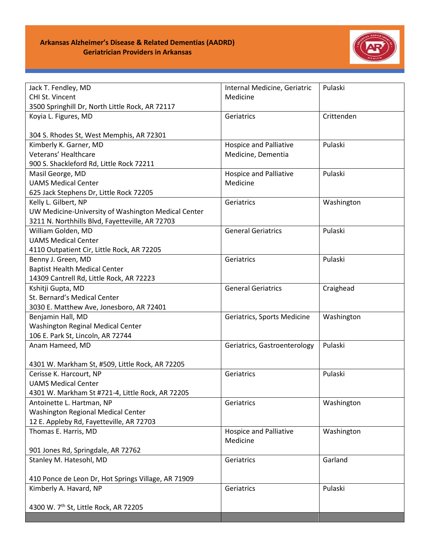

| Jack T. Fendley, MD                                 | Internal Medicine, Geriatric  | Pulaski    |
|-----------------------------------------------------|-------------------------------|------------|
| CHI St. Vincent                                     | Medicine                      |            |
| 3500 Springhill Dr, North Little Rock, AR 72117     |                               |            |
| Koyia L. Figures, MD                                | Geriatrics                    | Crittenden |
| 304 S. Rhodes St, West Memphis, AR 72301            |                               |            |
| Kimberly K. Garner, MD                              | <b>Hospice and Palliative</b> | Pulaski    |
| Veterans' Healthcare                                | Medicine, Dementia            |            |
| 900 S. Shackleford Rd, Little Rock 72211            |                               |            |
| Masil George, MD                                    | <b>Hospice and Palliative</b> | Pulaski    |
| <b>UAMS Medical Center</b>                          | Medicine                      |            |
| 625 Jack Stephens Dr, Little Rock 72205             |                               |            |
| Kelly L. Gilbert, NP                                | Geriatrics                    | Washington |
| UW Medicine-University of Washington Medical Center |                               |            |
| 3211 N. Northhills Blvd, Fayetteville, AR 72703     |                               |            |
| William Golden, MD                                  | <b>General Geriatrics</b>     | Pulaski    |
| <b>UAMS Medical Center</b>                          |                               |            |
| 4110 Outpatient Cir, Little Rock, AR 72205          |                               |            |
| Benny J. Green, MD                                  | Geriatrics                    | Pulaski    |
| <b>Baptist Health Medical Center</b>                |                               |            |
| 14309 Cantrell Rd, Little Rock, AR 72223            |                               |            |
| Kshitji Gupta, MD                                   | <b>General Geriatrics</b>     | Craighead  |
| St. Bernard's Medical Center                        |                               |            |
| 3030 E. Matthew Ave, Jonesboro, AR 72401            |                               |            |
| Benjamin Hall, MD                                   | Geriatrics, Sports Medicine   | Washington |
| Washington Reginal Medical Center                   |                               |            |
| 106 E. Park St, Lincoln, AR 72744                   |                               |            |
| Anam Hameed, MD                                     | Geriatrics, Gastroenterology  | Pulaski    |
|                                                     |                               |            |
| 4301 W. Markham St, #509, Little Rock, AR 72205     |                               |            |
| Cerisse K. Harcourt, NP                             | Geriatrics                    | Pulaski    |
| <b>UAMS Medical Center</b>                          |                               |            |
| 4301 W. Markham St #721-4, Little Rock, AR 72205    |                               |            |
| Antoinette L. Hartman, NP                           | Geriatrics                    | Washington |
| Washington Regional Medical Center                  |                               |            |
| 12 E. Appleby Rd, Fayetteville, AR 72703            |                               |            |
| Thomas E. Harris, MD                                | <b>Hospice and Palliative</b> | Washington |
|                                                     | Medicine                      |            |
| 901 Jones Rd, Springdale, AR 72762                  |                               |            |
| Stanley M. Hatesohl, MD                             | Geriatrics                    | Garland    |
|                                                     |                               |            |
| 410 Ponce de Leon Dr, Hot Springs Village, AR 71909 |                               |            |
| Kimberly A. Havard, NP                              | Geriatrics                    | Pulaski    |
|                                                     |                               |            |
| 4300 W. 7th St, Little Rock, AR 72205               |                               |            |
|                                                     |                               |            |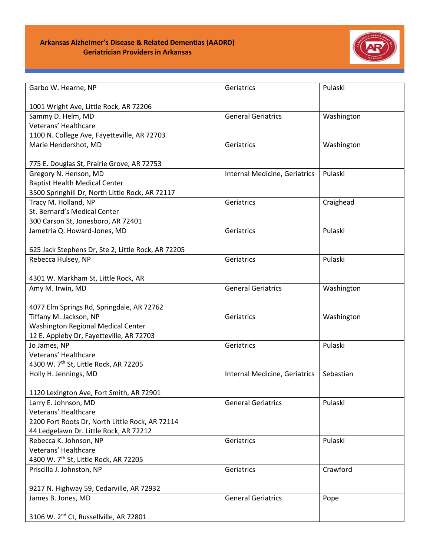

| Garbo W. Hearne, NP                                | Geriatrics                    | Pulaski    |
|----------------------------------------------------|-------------------------------|------------|
| 1001 Wright Ave, Little Rock, AR 72206             |                               |            |
| Sammy D. Helm, MD                                  | <b>General Geriatrics</b>     | Washington |
| Veterans' Healthcare                               |                               |            |
| 1100 N. College Ave, Fayetteville, AR 72703        |                               |            |
| Marie Hendershot, MD                               | Geriatrics                    | Washington |
|                                                    |                               |            |
| 775 E. Douglas St, Prairie Grove, AR 72753         |                               |            |
| Gregory N. Henson, MD                              | Internal Medicine, Geriatrics | Pulaski    |
| <b>Baptist Health Medical Center</b>               |                               |            |
| 3500 Springhill Dr, North Little Rock, AR 72117    |                               |            |
| Tracy M. Holland, NP                               | Geriatrics                    | Craighead  |
| St. Bernard's Medical Center                       |                               |            |
| 300 Carson St, Jonesboro, AR 72401                 |                               |            |
| Jametria Q. Howard-Jones, MD                       | Geriatrics                    | Pulaski    |
|                                                    |                               |            |
| 625 Jack Stephens Dr, Ste 2, Little Rock, AR 72205 |                               |            |
| Rebecca Hulsey, NP                                 | Geriatrics                    | Pulaski    |
|                                                    |                               |            |
| 4301 W. Markham St, Little Rock, AR                |                               |            |
| Amy M. Irwin, MD                                   | <b>General Geriatrics</b>     | Washington |
|                                                    |                               |            |
| 4077 Elm Springs Rd, Springdale, AR 72762          |                               |            |
| Tiffany M. Jackson, NP                             | Geriatrics                    | Washington |
| Washington Regional Medical Center                 |                               |            |
| 12 E. Appleby Dr, Fayetteville, AR 72703           |                               |            |
| Jo James, NP                                       | Geriatrics                    | Pulaski    |
| Veterans' Healthcare                               |                               |            |
| 4300 W. 7th St, Little Rock, AR 72205              |                               |            |
| Holly H. Jennings, MD                              | Internal Medicine, Geriatrics | Sebastian  |
|                                                    |                               |            |
| 1120 Lexington Ave, Fort Smith, AR 72901           |                               |            |
| Larry E. Johnson, MD                               | <b>General Geriatrics</b>     | Pulaski    |
| Veterans' Healthcare                               |                               |            |
| 2200 Fort Roots Dr, North Little Rock, AR 72114    |                               |            |
| 44 Ledgelawn Dr. Little Rock, AR 72212             |                               |            |
| Rebecca K. Johnson, NP                             | Geriatrics                    | Pulaski    |
| Veterans' Healthcare                               |                               |            |
| 4300 W. 7th St, Little Rock, AR 72205              |                               |            |
|                                                    |                               | Crawford   |
| Priscilla J. Johnston, NP                          | Geriatrics                    |            |
| 9217 N. Highway 59, Cedarville, AR 72932           |                               |            |
| James B. Jones, MD                                 | <b>General Geriatrics</b>     | Pope       |
|                                                    |                               |            |
| 3106 W. 2 <sup>nd</sup> Ct, Russellville, AR 72801 |                               |            |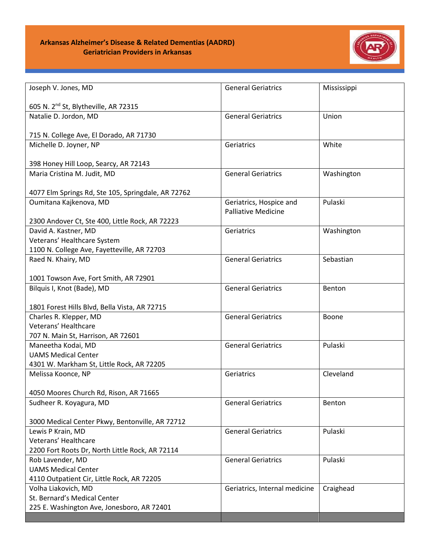

| Joseph V. Jones, MD                                | <b>General Geriatrics</b>     | Mississippi |
|----------------------------------------------------|-------------------------------|-------------|
| 605 N. 2 <sup>nd</sup> St, Blytheville, AR 72315   |                               |             |
| Natalie D. Jordon, MD                              | <b>General Geriatrics</b>     | Union       |
| 715 N. College Ave, El Dorado, AR 71730            |                               |             |
| Michelle D. Joyner, NP                             | Geriatrics                    | White       |
| 398 Honey Hill Loop, Searcy, AR 72143              |                               |             |
| Maria Cristina M. Judit, MD                        | <b>General Geriatrics</b>     | Washington  |
| 4077 Elm Springs Rd, Ste 105, Springdale, AR 72762 |                               |             |
| Oumitana Kajkenova, MD                             | Geriatrics, Hospice and       | Pulaski     |
|                                                    | <b>Palliative Medicine</b>    |             |
| 2300 Andover Ct, Ste 400, Little Rock, AR 72223    |                               |             |
| David A. Kastner, MD                               | Geriatrics                    | Washington  |
| Veterans' Healthcare System                        |                               |             |
| 1100 N. College Ave, Fayetteville, AR 72703        |                               |             |
| Raed N. Khairy, MD                                 | <b>General Geriatrics</b>     | Sebastian   |
| 1001 Towson Ave, Fort Smith, AR 72901              |                               |             |
| Bilquis I, Knot (Bade), MD                         | <b>General Geriatrics</b>     | Benton      |
| 1801 Forest Hills Blvd, Bella Vista, AR 72715      |                               |             |
| Charles R. Klepper, MD                             | <b>General Geriatrics</b>     | Boone       |
| Veterans' Healthcare                               |                               |             |
| 707 N. Main St, Harrison, AR 72601                 |                               |             |
| Maneetha Kodai, MD                                 | <b>General Geriatrics</b>     | Pulaski     |
| <b>UAMS Medical Center</b>                         |                               |             |
| 4301 W. Markham St, Little Rock, AR 72205          |                               |             |
| Melissa Koonce, NP                                 | Geriatrics                    | Cleveland   |
| 4050 Moores Church Rd, Rison, AR 71665             |                               |             |
| Sudheer R. Koyagura, MD                            | <b>General Geriatrics</b>     | Benton      |
|                                                    |                               |             |
| 3000 Medical Center Pkwy, Bentonville, AR 72712    |                               |             |
| Lewis P Krain, MD                                  | <b>General Geriatrics</b>     | Pulaski     |
| Veterans' Healthcare                               |                               |             |
| 2200 Fort Roots Dr, North Little Rock, AR 72114    |                               |             |
| Rob Lavender, MD                                   | <b>General Geriatrics</b>     | Pulaski     |
| <b>UAMS Medical Center</b>                         |                               |             |
| 4110 Outpatient Cir, Little Rock, AR 72205         |                               |             |
| Volha Liakovich, MD                                | Geriatrics, Internal medicine | Craighead   |
| St. Bernard's Medical Center                       |                               |             |
| 225 E. Washington Ave, Jonesboro, AR 72401         |                               |             |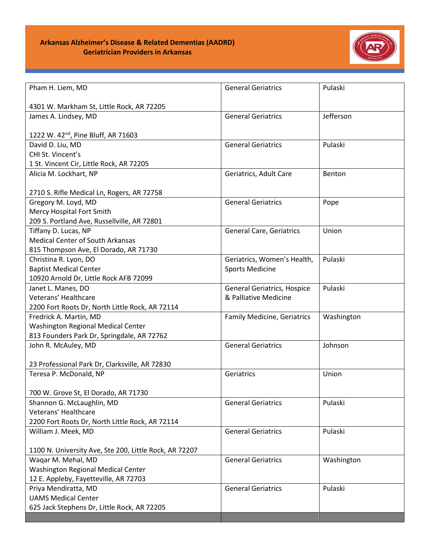

| Pham H. Liem, MD                                       | <b>General Geriatrics</b>          | Pulaski    |
|--------------------------------------------------------|------------------------------------|------------|
| 4301 W. Markham St, Little Rock, AR 72205              |                                    |            |
| James A. Lindsey, MD                                   | <b>General Geriatrics</b>          | Jefferson  |
|                                                        |                                    |            |
| 1222 W. 42 <sup>nd</sup> , Pine Bluff, AR 71603        |                                    |            |
| David D. Liu, MD                                       | <b>General Geriatrics</b>          | Pulaski    |
| CHI St. Vincent's                                      |                                    |            |
| 1 St. Vincent Cir, Little Rock, AR 72205               |                                    |            |
| Alicia M. Lockhart, NP                                 | Geriatrics, Adult Care             | Benton     |
| 2710 S. Rifle Medical Ln, Rogers, AR 72758             |                                    |            |
| Gregory M. Loyd, MD                                    | <b>General Geriatrics</b>          | Pope       |
| Mercy Hospital Fort Smith                              |                                    |            |
| 209 S. Portland Ave, Russellville, AR 72801            |                                    |            |
| Tiffany D. Lucas, NP                                   | <b>General Care, Geriatrics</b>    | Union      |
| <b>Medical Center of South Arkansas</b>                |                                    |            |
| 815 Thompson Ave, El Dorado, AR 71730                  |                                    |            |
| Christina R. Lyon, DO                                  | Geriatrics, Women's Health,        | Pulaski    |
| <b>Baptist Medical Center</b>                          | <b>Sports Medicine</b>             |            |
| 10920 Arnold Dr, Little Rock AFB 72099                 |                                    |            |
| Janet L. Manes, DO                                     | <b>General Geriatrics, Hospice</b> | Pulaski    |
| Veterans' Healthcare                                   | & Palliative Medicine              |            |
| 2200 Fort Roots Dr, North Little Rock, AR 72114        |                                    |            |
| Fredrick A. Martin, MD                                 | <b>Family Medicine, Geriatrics</b> | Washington |
| Washington Regional Medical Center                     |                                    |            |
| 813 Founders Park Dr, Springdale, AR 72762             |                                    |            |
| John R. McAuley, MD                                    | <b>General Geriatrics</b>          | Johnson    |
|                                                        |                                    |            |
| 23 Professional Park Dr, Clarksville, AR 72830         |                                    |            |
| Teresa P. McDonald, NP                                 | Geriatrics                         | Union      |
|                                                        |                                    |            |
| 700 W. Grove St, El Dorado, AR 71730                   |                                    |            |
| Shannon G. McLaughlin, MD                              | <b>General Geriatrics</b>          | Pulaski    |
| Veterans' Healthcare                                   |                                    |            |
| 2200 Fort Roots Dr, North Little Rock, AR 72114        |                                    |            |
| William J. Meek, MD                                    | <b>General Geriatrics</b>          | Pulaski    |
| 1100 N. University Ave, Ste 200, Little Rock, AR 72207 |                                    |            |
| Wagar M. Mehal, MD                                     | <b>General Geriatrics</b>          | Washington |
| Washington Regional Medical Center                     |                                    |            |
| 12 E. Appleby, Fayetteville, AR 72703                  |                                    |            |
| Priya Mendiratta, MD                                   | <b>General Geriatrics</b>          | Pulaski    |
| <b>UAMS Medical Center</b>                             |                                    |            |
| 625 Jack Stephens Dr, Little Rock, AR 72205            |                                    |            |
|                                                        |                                    |            |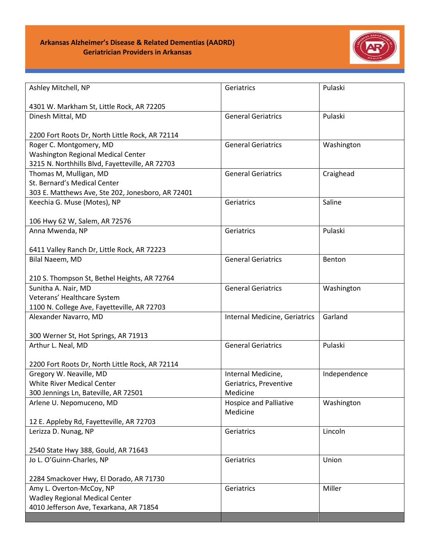

| Ashley Mitchell, NP                               | Geriatrics                    | Pulaski      |
|---------------------------------------------------|-------------------------------|--------------|
|                                                   |                               |              |
| 4301 W. Markham St, Little Rock, AR 72205         |                               |              |
| Dinesh Mittal, MD                                 | <b>General Geriatrics</b>     | Pulaski      |
| 2200 Fort Roots Dr, North Little Rock, AR 72114   |                               |              |
| Roger C. Montgomery, MD                           | <b>General Geriatrics</b>     | Washington   |
| Washington Regional Medical Center                |                               |              |
| 3215 N. Northhills Blvd, Fayetteville, AR 72703   |                               |              |
| Thomas M, Mulligan, MD                            | <b>General Geriatrics</b>     | Craighead    |
| St. Bernard's Medical Center                      |                               |              |
| 303 E. Matthews Ave, Ste 202, Jonesboro, AR 72401 |                               |              |
| Keechia G. Muse (Motes), NP                       | Geriatrics                    | Saline       |
|                                                   |                               |              |
| 106 Hwy 62 W, Salem, AR 72576                     |                               |              |
| Anna Mwenda, NP                                   | Geriatrics                    | Pulaski      |
|                                                   |                               |              |
| 6411 Valley Ranch Dr, Little Rock, AR 72223       |                               |              |
| Bilal Naeem, MD                                   | <b>General Geriatrics</b>     | Benton       |
|                                                   |                               |              |
| 210 S. Thompson St, Bethel Heights, AR 72764      |                               |              |
| Sunitha A. Nair, MD                               | <b>General Geriatrics</b>     | Washington   |
| Veterans' Healthcare System                       |                               |              |
| 1100 N. College Ave, Fayetteville, AR 72703       |                               |              |
| Alexander Navarro, MD                             | Internal Medicine, Geriatrics | Garland      |
|                                                   |                               |              |
| 300 Werner St, Hot Springs, AR 71913              |                               |              |
| Arthur L. Neal, MD                                | <b>General Geriatrics</b>     | Pulaski      |
| 2200 Fort Roots Dr, North Little Rock, AR 72114   |                               |              |
| Gregory W. Neaville, MD                           | Internal Medicine,            | Independence |
| White River Medical Center                        | Geriatrics, Preventive        |              |
| 300 Jennings Ln, Bateville, AR 72501              | Medicine                      |              |
| Arlene U. Nepomuceno, MD                          | <b>Hospice and Palliative</b> | Washington   |
|                                                   | Medicine                      |              |
| 12 E. Appleby Rd, Fayetteville, AR 72703          |                               |              |
| Lerizza D. Nunag, NP                              | Geriatrics                    | Lincoln      |
|                                                   |                               |              |
| 2540 State Hwy 388, Gould, AR 71643               |                               |              |
| Jo L. O'Guinn-Charles, NP                         | Geriatrics                    | Union        |
|                                                   |                               |              |
| 2284 Smackover Hwy, El Dorado, AR 71730           |                               |              |
| Amy L. Overton-McCoy, NP                          | Geriatrics                    | Miller       |
| <b>Wadley Regional Medical Center</b>             |                               |              |
| 4010 Jefferson Ave, Texarkana, AR 71854           |                               |              |
|                                                   |                               |              |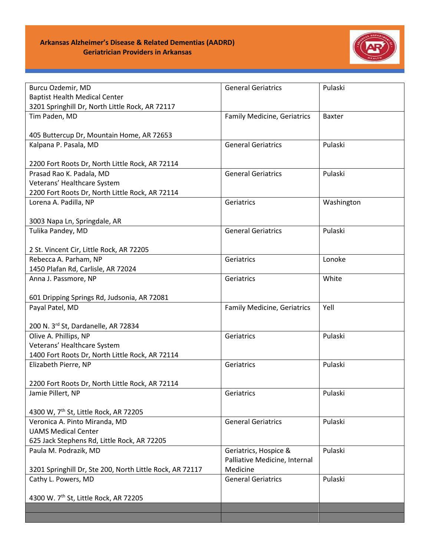

| Burcu Ozdemir, MD                                        | <b>General Geriatrics</b>          | Pulaski       |
|----------------------------------------------------------|------------------------------------|---------------|
| <b>Baptist Health Medical Center</b>                     |                                    |               |
| 3201 Springhill Dr, North Little Rock, AR 72117          |                                    |               |
| Tim Paden, MD                                            | Family Medicine, Geriatrics        | <b>Baxter</b> |
|                                                          |                                    |               |
| 405 Buttercup Dr, Mountain Home, AR 72653                |                                    |               |
| Kalpana P. Pasala, MD                                    | <b>General Geriatrics</b>          | Pulaski       |
|                                                          |                                    |               |
| 2200 Fort Roots Dr, North Little Rock, AR 72114          |                                    |               |
| Prasad Rao K. Padala, MD                                 | <b>General Geriatrics</b>          | Pulaski       |
| Veterans' Healthcare System                              |                                    |               |
| 2200 Fort Roots Dr, North Little Rock, AR 72114          |                                    |               |
| Lorena A. Padilla, NP                                    | Geriatrics                         | Washington    |
|                                                          |                                    |               |
| 3003 Napa Ln, Springdale, AR                             |                                    |               |
| Tulika Pandey, MD                                        | <b>General Geriatrics</b>          | Pulaski       |
|                                                          |                                    |               |
| 2 St. Vincent Cir, Little Rock, AR 72205                 |                                    |               |
| Rebecca A. Parham, NP                                    | Geriatrics                         | Lonoke        |
| 1450 Plafan Rd, Carlisle, AR 72024                       |                                    |               |
| Anna J. Passmore, NP                                     | Geriatrics                         | White         |
|                                                          |                                    |               |
| 601 Dripping Springs Rd, Judsonia, AR 72081              |                                    |               |
| Payal Patel, MD                                          | <b>Family Medicine, Geriatrics</b> | Yell          |
| 200 N. 3rd St, Dardanelle, AR 72834                      |                                    |               |
| Olive A. Phillips, NP                                    | Geriatrics                         | Pulaski       |
| Veterans' Healthcare System                              |                                    |               |
| 1400 Fort Roots Dr, North Little Rock, AR 72114          |                                    |               |
| Elizabeth Pierre, NP                                     | Geriatrics                         | Pulaski       |
|                                                          |                                    |               |
| 2200 Fort Roots Dr, North Little Rock, AR 72114          |                                    |               |
| Jamie Pillert, NP                                        | Geriatrics                         | Pulaski       |
|                                                          |                                    |               |
| 4300 W, 7 <sup>th</sup> St, Little Rock, AR 72205        |                                    |               |
| Veronica A. Pinto Miranda, MD                            | <b>General Geriatrics</b>          | Pulaski       |
| <b>UAMS Medical Center</b>                               |                                    |               |
| 625 Jack Stephens Rd, Little Rock, AR 72205              |                                    |               |
| Paula M. Podrazik, MD                                    | Geriatrics, Hospice &              | Pulaski       |
|                                                          | Palliative Medicine, Internal      |               |
| 3201 Springhill Dr, Ste 200, North Little Rock, AR 72117 | Medicine                           |               |
| Cathy L. Powers, MD                                      | <b>General Geriatrics</b>          | Pulaski       |
|                                                          |                                    |               |
| 4300 W. 7th St, Little Rock, AR 72205                    |                                    |               |
|                                                          |                                    |               |
|                                                          |                                    |               |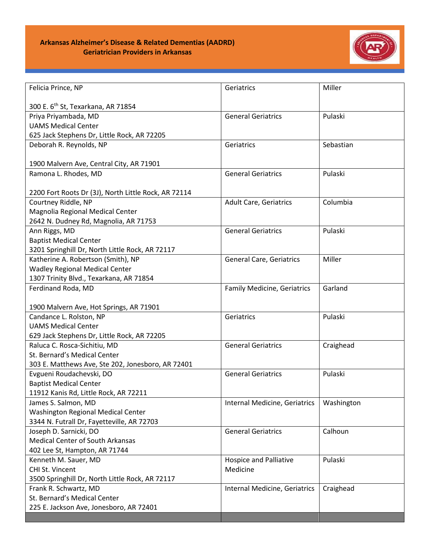

| Felicia Prince, NP                                   | Geriatrics                         | Miller     |
|------------------------------------------------------|------------------------------------|------------|
| 300 E. 6 <sup>th</sup> St, Texarkana, AR 71854       |                                    |            |
| Priya Priyambada, MD                                 | <b>General Geriatrics</b>          | Pulaski    |
| <b>UAMS Medical Center</b>                           |                                    |            |
| 625 Jack Stephens Dr, Little Rock, AR 72205          |                                    |            |
| Deborah R. Reynolds, NP                              | Geriatrics                         | Sebastian  |
|                                                      |                                    |            |
| 1900 Malvern Ave, Central City, AR 71901             |                                    |            |
| Ramona L. Rhodes, MD                                 | <b>General Geriatrics</b>          | Pulaski    |
|                                                      |                                    |            |
| 2200 Fort Roots Dr (3J), North Little Rock, AR 72114 |                                    |            |
| Courtney Riddle, NP                                  | <b>Adult Care, Geriatrics</b>      | Columbia   |
| Magnolia Regional Medical Center                     |                                    |            |
| 2642 N. Dudney Rd, Magnolia, AR 71753                |                                    |            |
| Ann Riggs, MD                                        | <b>General Geriatrics</b>          | Pulaski    |
| <b>Baptist Medical Center</b>                        |                                    |            |
| 3201 Springhill Dr, North Little Rock, AR 72117      |                                    |            |
| Katherine A. Robertson (Smith), NP                   | <b>General Care, Geriatrics</b>    | Miller     |
| <b>Wadley Regional Medical Center</b>                |                                    |            |
| 1307 Trinity Blvd., Texarkana, AR 71854              |                                    |            |
| Ferdinand Roda, MD                                   | <b>Family Medicine, Geriatrics</b> | Garland    |
|                                                      |                                    |            |
| 1900 Malvern Ave, Hot Springs, AR 71901              |                                    |            |
| Candance L. Rolston, NP                              | Geriatrics                         | Pulaski    |
| <b>UAMS Medical Center</b>                           |                                    |            |
| 629 Jack Stephens Dr, Little Rock, AR 72205          |                                    |            |
| Raluca C. Rosca-Sichitiu, MD                         | <b>General Geriatrics</b>          | Craighead  |
| St. Bernard's Medical Center                         |                                    |            |
| 303 E. Matthews Ave, Ste 202, Jonesboro, AR 72401    |                                    |            |
| Evgueni Roudachevski, DO                             | <b>General Geriatrics</b>          | Pulaski    |
| <b>Baptist Medical Center</b>                        |                                    |            |
| 11912 Kanis Rd, Little Rock, AR 72211                |                                    |            |
| James S. Salmon, MD                                  | Internal Medicine, Geriatrics      | Washington |
| <b>Washington Regional Medical Center</b>            |                                    |            |
| 3344 N. Futrall Dr, Fayetteville, AR 72703           |                                    |            |
| Joseph D. Sarnicki, DO                               | <b>General Geriatrics</b>          | Calhoun    |
| <b>Medical Center of South Arkansas</b>              |                                    |            |
| 402 Lee St, Hampton, AR 71744                        |                                    |            |
| Kenneth M. Sauer, MD                                 | <b>Hospice and Palliative</b>      | Pulaski    |
| CHI St. Vincent                                      | Medicine                           |            |
| 3500 Springhill Dr, North Little Rock, AR 72117      |                                    |            |
| Frank R. Schwartz, MD                                | Internal Medicine, Geriatrics      | Craighead  |
| St. Bernard's Medical Center                         |                                    |            |
| 225 E. Jackson Ave, Jonesboro, AR 72401              |                                    |            |
|                                                      |                                    |            |
|                                                      |                                    |            |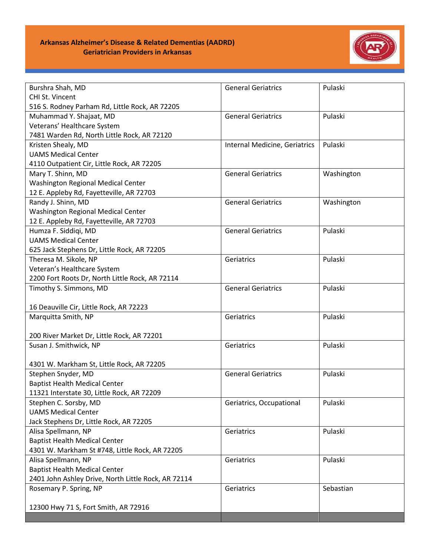

| Burshra Shah, MD                                    | <b>General Geriatrics</b>     | Pulaski    |
|-----------------------------------------------------|-------------------------------|------------|
| CHI St. Vincent                                     |                               |            |
| 516 S. Rodney Parham Rd, Little Rock, AR 72205      |                               |            |
| Muhammad Y. Shajaat, MD                             | <b>General Geriatrics</b>     | Pulaski    |
| Veterans' Healthcare System                         |                               |            |
| 7481 Warden Rd, North Little Rock, AR 72120         |                               |            |
| Kristen Shealy, MD                                  | Internal Medicine, Geriatrics | Pulaski    |
| <b>UAMS Medical Center</b>                          |                               |            |
| 4110 Outpatient Cir, Little Rock, AR 72205          |                               |            |
| Mary T. Shinn, MD                                   | <b>General Geriatrics</b>     | Washington |
| Washington Regional Medical Center                  |                               |            |
| 12 E. Appleby Rd, Fayetteville, AR 72703            |                               |            |
| Randy J. Shinn, MD                                  | <b>General Geriatrics</b>     | Washington |
| Washington Regional Medical Center                  |                               |            |
| 12 E. Appleby Rd, Fayetteville, AR 72703            |                               |            |
| Humza F. Siddigi, MD                                | <b>General Geriatrics</b>     | Pulaski    |
| <b>UAMS Medical Center</b>                          |                               |            |
| 625 Jack Stephens Dr, Little Rock, AR 72205         |                               |            |
| Theresa M. Sikole, NP                               | Geriatrics                    | Pulaski    |
| Veteran's Healthcare System                         |                               |            |
| 2200 Fort Roots Dr, North Little Rock, AR 72114     |                               |            |
| Timothy S. Simmons, MD                              | <b>General Geriatrics</b>     | Pulaski    |
|                                                     |                               |            |
| 16 Deauville Cir, Little Rock, AR 72223             |                               |            |
| Marquitta Smith, NP                                 | Geriatrics                    | Pulaski    |
|                                                     |                               |            |
| 200 River Market Dr, Little Rock, AR 72201          |                               |            |
| Susan J. Smithwick, NP                              | Geriatrics                    | Pulaski    |
|                                                     |                               |            |
| 4301 W. Markham St, Little Rock, AR 72205           |                               |            |
| Stephen Snyder, MD                                  | <b>General Geriatrics</b>     | Pulaski    |
| <b>Baptist Health Medical Center</b>                |                               |            |
| 11321 Interstate 30, Little Rock, AR 72209          |                               |            |
| Stephen C. Sorsby, MD                               | Geriatrics, Occupational      | Pulaski    |
| <b>UAMS Medical Center</b>                          |                               |            |
| Jack Stephens Dr, Little Rock, AR 72205             |                               |            |
| Alisa Spellmann, NP                                 | Geriatrics                    | Pulaski    |
| <b>Baptist Health Medical Center</b>                |                               |            |
| 4301 W. Markham St #748, Little Rock, AR 72205      |                               |            |
| Alisa Spellmann, NP                                 | Geriatrics                    | Pulaski    |
| <b>Baptist Health Medical Center</b>                |                               |            |
| 2401 John Ashley Drive, North Little Rock, AR 72114 |                               |            |
| Rosemary P. Spring, NP                              | Geriatrics                    | Sebastian  |
|                                                     |                               |            |
| 12300 Hwy 71 S, Fort Smith, AR 72916                |                               |            |
|                                                     |                               |            |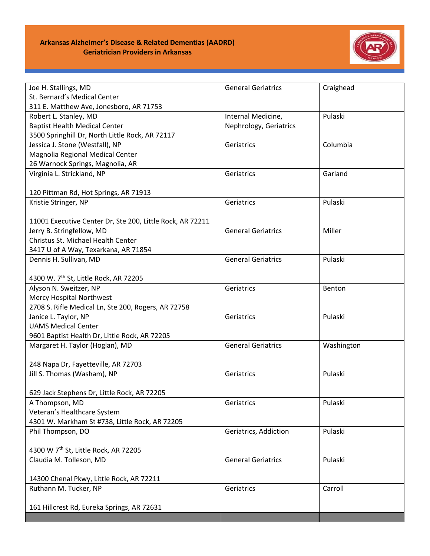

| Joe H. Stallings, MD                                                             | <b>General Geriatrics</b> | Craighead  |
|----------------------------------------------------------------------------------|---------------------------|------------|
| St. Bernard's Medical Center                                                     |                           |            |
| 311 E. Matthew Ave, Jonesboro, AR 71753                                          |                           |            |
| Robert L. Stanley, MD                                                            | Internal Medicine,        | Pulaski    |
| <b>Baptist Health Medical Center</b>                                             | Nephrology, Geriatrics    |            |
| 3500 Springhill Dr, North Little Rock, AR 72117                                  |                           |            |
| Jessica J. Stone (Westfall), NP                                                  | Geriatrics                | Columbia   |
| Magnolia Regional Medical Center                                                 |                           |            |
| 26 Warnock Springs, Magnolia, AR                                                 |                           |            |
| Virginia L. Strickland, NP                                                       | Geriatrics                | Garland    |
|                                                                                  |                           |            |
| 120 Pittman Rd, Hot Springs, AR 71913                                            |                           |            |
| Kristie Stringer, NP                                                             | Geriatrics                | Pulaski    |
|                                                                                  |                           |            |
| 11001 Executive Center Dr, Ste 200, Little Rock, AR 72211                        |                           |            |
| Jerry B. Stringfellow, MD                                                        | <b>General Geriatrics</b> | Miller     |
| Christus St. Michael Health Center                                               |                           |            |
| 3417 U of A Way, Texarkana, AR 71854                                             |                           |            |
| Dennis H. Sullivan, MD                                                           | <b>General Geriatrics</b> | Pulaski    |
|                                                                                  |                           |            |
| 4300 W. 7 <sup>th</sup> St, Little Rock, AR 72205                                |                           |            |
| Alyson N. Sweitzer, NP                                                           | Geriatrics                | Benton     |
| Mercy Hospital Northwest                                                         |                           |            |
| 2708 S. Rifle Medical Ln, Ste 200, Rogers, AR 72758                              |                           |            |
| Janice L. Taylor, NP                                                             | Geriatrics                | Pulaski    |
| <b>UAMS Medical Center</b>                                                       |                           |            |
| 9601 Baptist Health Dr, Little Rock, AR 72205<br>Margaret H. Taylor (Hoglan), MD | <b>General Geriatrics</b> |            |
|                                                                                  |                           | Washington |
| 248 Napa Dr, Fayetteville, AR 72703                                              |                           |            |
| Jill S. Thomas (Washam), NP                                                      | Geriatrics                | Pulaski    |
|                                                                                  |                           |            |
| 629 Jack Stephens Dr, Little Rock, AR 72205                                      |                           |            |
| A Thompson, MD                                                                   | Geriatrics                | Pulaski    |
| Veteran's Healthcare System                                                      |                           |            |
| 4301 W. Markham St #738, Little Rock, AR 72205                                   |                           |            |
| Phil Thompson, DO                                                                | Geriatrics, Addiction     | Pulaski    |
|                                                                                  |                           |            |
| 4300 W 7th St, Little Rock, AR 72205                                             |                           |            |
| Claudia M. Tolleson, MD                                                          | <b>General Geriatrics</b> | Pulaski    |
|                                                                                  |                           |            |
| 14300 Chenal Pkwy, Little Rock, AR 72211                                         |                           |            |
| Ruthann M. Tucker, NP                                                            | Geriatrics                | Carroll    |
|                                                                                  |                           |            |
| 161 Hillcrest Rd, Eureka Springs, AR 72631                                       |                           |            |
|                                                                                  |                           |            |